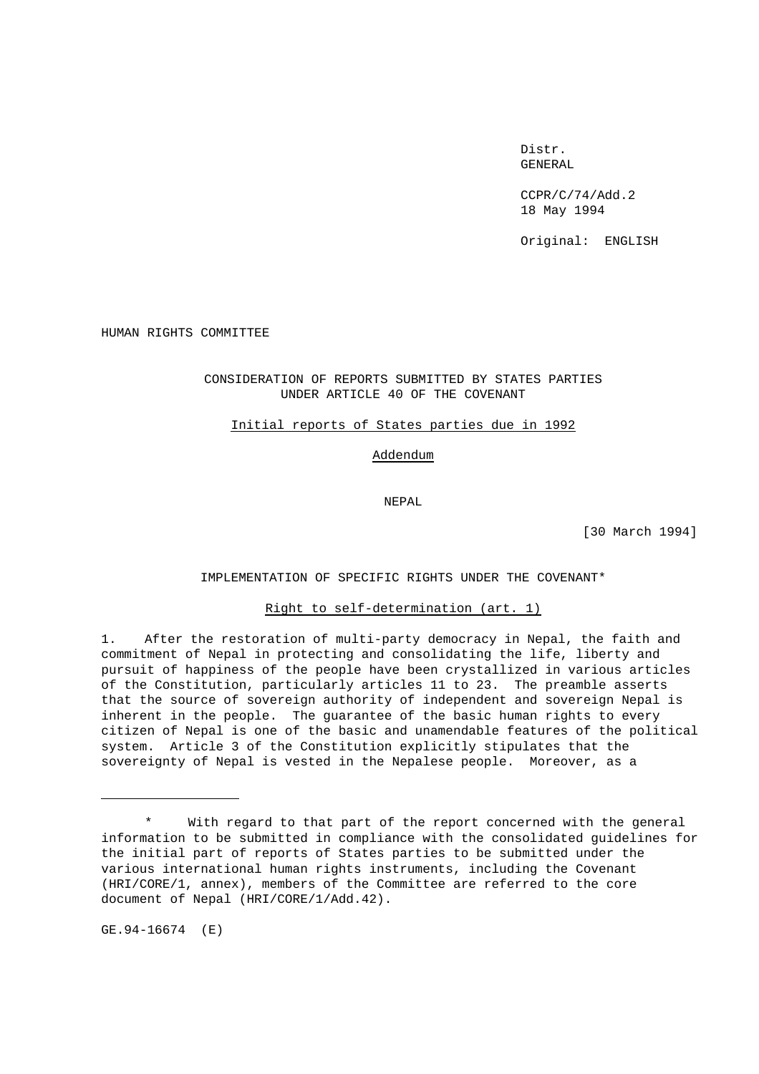Distr. GENERAL

CCPR/C/74/Add.2 18 May 1994

Original: ENGLISH

HUMAN RIGHTS COMMITTEE

# CONSIDERATION OF REPORTS SUBMITTED BY STATES PARTIES UNDER ARTICLE 40 OF THE COVENANT

#### Initial reports of States parties due in 1992

# Addendum

NEPAL

[30 March 1994]

## IMPLEMENTATION OF SPECIFIC RIGHTS UNDER THE COVENANT\*

## Right to self-determination (art. 1)

1. After the restoration of multi-party democracy in Nepal, the faith and commitment of Nepal in protecting and consolidating the life, liberty and pursuit of happiness of the people have been crystallized in various articles of the Constitution, particularly articles 11 to 23. The preamble asserts that the source of sovereign authority of independent and sovereign Nepal is inherent in the people. The guarantee of the basic human rights to every citizen of Nepal is one of the basic and unamendable features of the political system. Article 3 of the Constitution explicitly stipulates that the sovereignty of Nepal is vested in the Nepalese people. Moreover, as a

GE.94-16674 (E)

With regard to that part of the report concerned with the general information to be submitted in compliance with the consolidated guidelines for the initial part of reports of States parties to be submitted under the various international human rights instruments, including the Covenant (HRI/CORE/1, annex), members of the Committee are referred to the core document of Nepal (HRI/CORE/1/Add.42).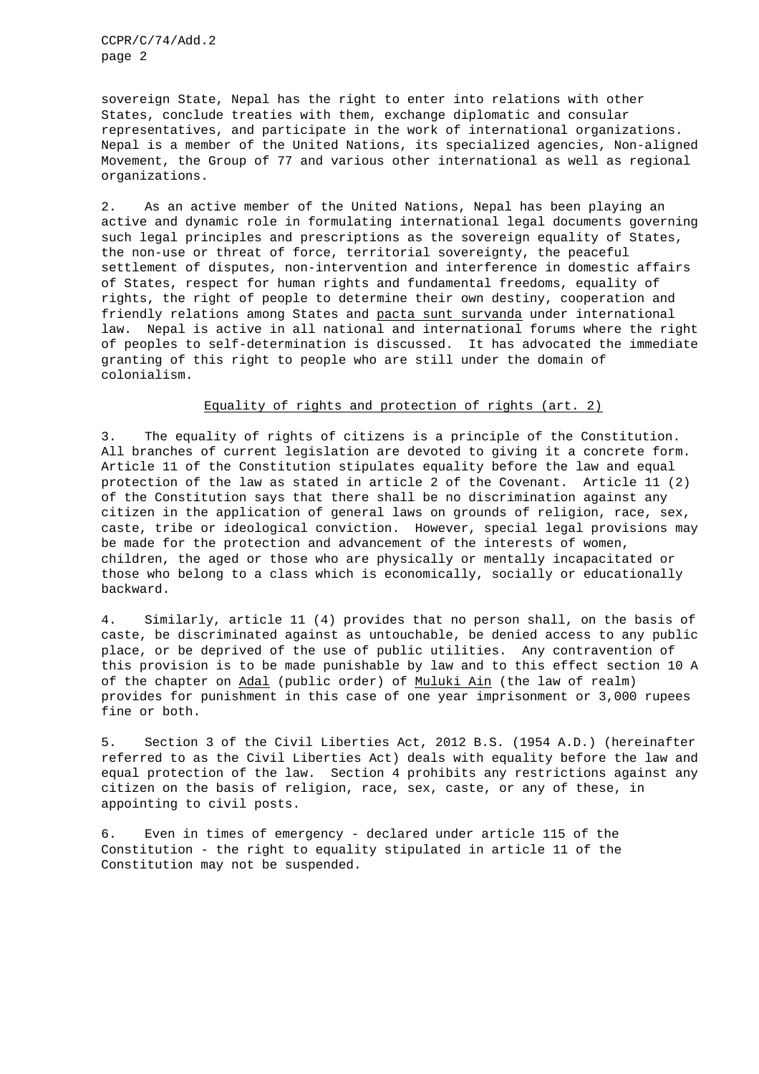sovereign State, Nepal has the right to enter into relations with other States, conclude treaties with them, exchange diplomatic and consular representatives, and participate in the work of international organizations. Nepal is a member of the United Nations, its specialized agencies, Non-aligned Movement, the Group of 77 and various other international as well as regional organizations.

2. As an active member of the United Nations, Nepal has been playing an active and dynamic role in formulating international legal documents governing such legal principles and prescriptions as the sovereign equality of States, the non-use or threat of force, territorial sovereignty, the peaceful settlement of disputes, non-intervention and interference in domestic affairs of States, respect for human rights and fundamental freedoms, equality of rights, the right of people to determine their own destiny, cooperation and friendly relations among States and pacta sunt survanda under international law. Nepal is active in all national and international forums where the right of peoples to self-determination is discussed. It has advocated the immediate granting of this right to people who are still under the domain of colonialism.

#### Equality of rights and protection of rights (art. 2)

3. The equality of rights of citizens is a principle of the Constitution. All branches of current legislation are devoted to giving it a concrete form. Article 11 of the Constitution stipulates equality before the law and equal protection of the law as stated in article 2 of the Covenant. Article 11 (2) of the Constitution says that there shall be no discrimination against any citizen in the application of general laws on grounds of religion, race, sex, caste, tribe or ideological conviction. However, special legal provisions may be made for the protection and advancement of the interests of women, children, the aged or those who are physically or mentally incapacitated or those who belong to a class which is economically, socially or educationally backward.

4. Similarly, article 11 (4) provides that no person shall, on the basis of caste, be discriminated against as untouchable, be denied access to any public place, or be deprived of the use of public utilities. Any contravention of this provision is to be made punishable by law and to this effect section 10 A of the chapter on Adal (public order) of Muluki Ain (the law of realm) provides for punishment in this case of one year imprisonment or 3,000 rupees fine or both.

5. Section 3 of the Civil Liberties Act, 2012 B.S. (1954 A.D.) (hereinafter referred to as the Civil Liberties Act) deals with equality before the law and equal protection of the law. Section 4 prohibits any restrictions against any citizen on the basis of religion, race, sex, caste, or any of these, in appointing to civil posts.

6. Even in times of emergency - declared under article 115 of the Constitution - the right to equality stipulated in article 11 of the Constitution may not be suspended.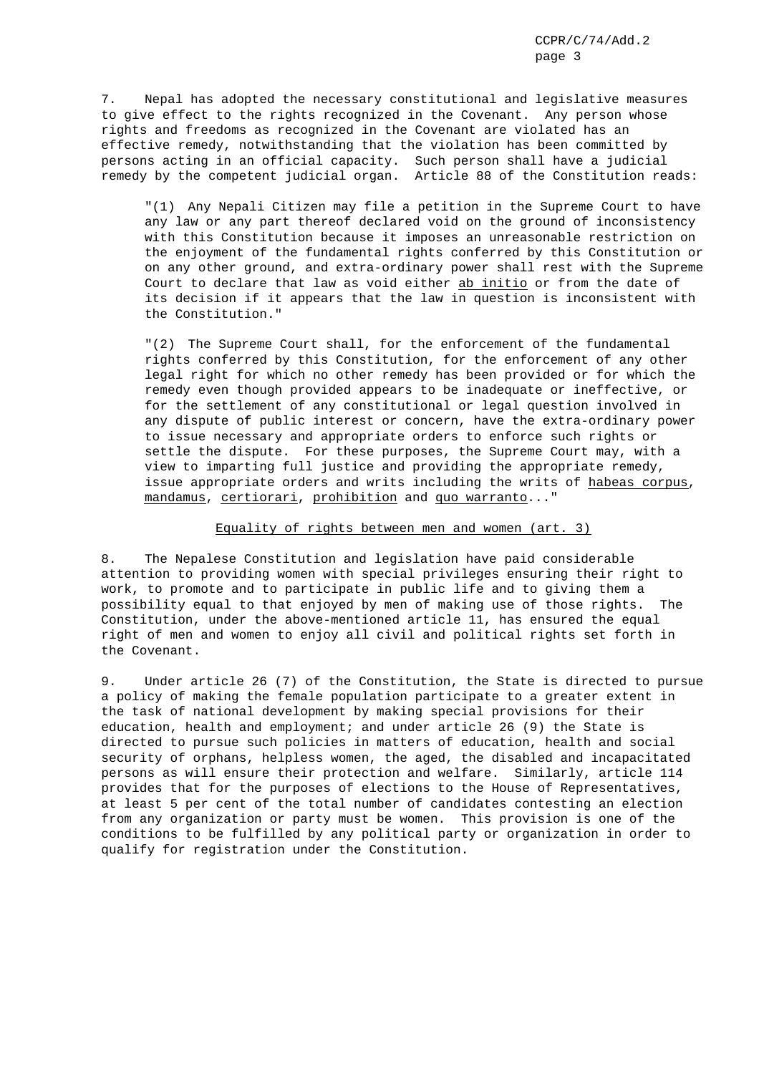7. Nepal has adopted the necessary constitutional and legislative measures to give effect to the rights recognized in the Covenant. Any person whose rights and freedoms as recognized in the Covenant are violated has an effective remedy, notwithstanding that the violation has been committed by persons acting in an official capacity. Such person shall have a judicial remedy by the competent judicial organ. Article 88 of the Constitution reads:

"(1) Any Nepali Citizen may file a petition in the Supreme Court to have any law or any part thereof declared void on the ground of inconsistency with this Constitution because it imposes an unreasonable restriction on the enjoyment of the fundamental rights conferred by this Constitution or on any other ground, and extra-ordinary power shall rest with the Supreme Court to declare that law as void either ab initio or from the date of its decision if it appears that the law in question is inconsistent with the Constitution."

"(2) The Supreme Court shall, for the enforcement of the fundamental rights conferred by this Constitution, for the enforcement of any other legal right for which no other remedy has been provided or for which the remedy even though provided appears to be inadequate or ineffective, or for the settlement of any constitutional or legal question involved in any dispute of public interest or concern, have the extra-ordinary power to issue necessary and appropriate orders to enforce such rights or settle the dispute. For these purposes, the Supreme Court may, with a view to imparting full justice and providing the appropriate remedy, issue appropriate orders and writs including the writs of habeas corpus, mandamus, certiorari, prohibition and quo warranto..."

## Equality of rights between men and women (art. 3)

8. The Nepalese Constitution and legislation have paid considerable attention to providing women with special privileges ensuring their right to work, to promote and to participate in public life and to giving them a possibility equal to that enjoyed by men of making use of those rights. The Constitution, under the above-mentioned article 11, has ensured the equal right of men and women to enjoy all civil and political rights set forth in the Covenant.

9. Under article 26 (7) of the Constitution, the State is directed to pursue a policy of making the female population participate to a greater extent in the task of national development by making special provisions for their education, health and employment; and under article 26 (9) the State is directed to pursue such policies in matters of education, health and social security of orphans, helpless women, the aged, the disabled and incapacitated persons as will ensure their protection and welfare. Similarly, article 114 provides that for the purposes of elections to the House of Representatives, at least 5 per cent of the total number of candidates contesting an election from any organization or party must be women. This provision is one of the conditions to be fulfilled by any political party or organization in order to qualify for registration under the Constitution.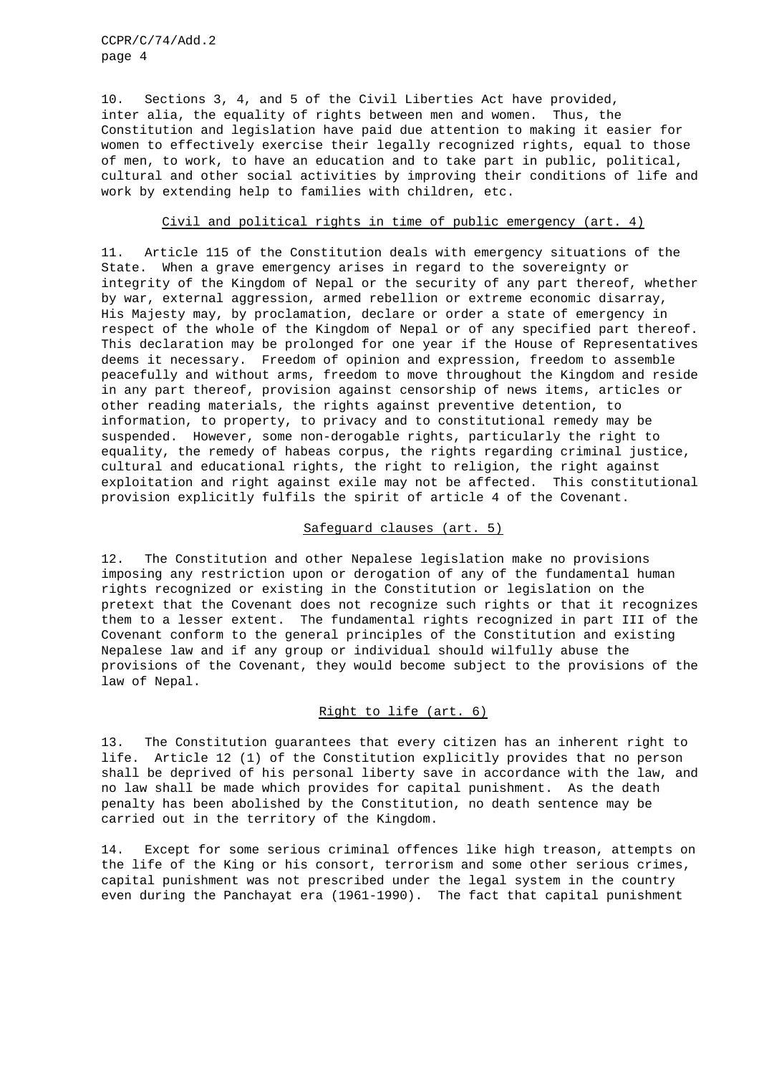10. Sections 3, 4, and 5 of the Civil Liberties Act have provided, inter alia, the equality of rights between men and women. Thus, the Constitution and legislation have paid due attention to making it easier for women to effectively exercise their legally recognized rights, equal to those of men, to work, to have an education and to take part in public, political, cultural and other social activities by improving their conditions of life and work by extending help to families with children, etc.

# Civil and political rights in time of public emergency (art. 4)

11. Article 115 of the Constitution deals with emergency situations of the State. When a grave emergency arises in regard to the sovereignty or integrity of the Kingdom of Nepal or the security of any part thereof, whether by war, external aggression, armed rebellion or extreme economic disarray, His Majesty may, by proclamation, declare or order a state of emergency in respect of the whole of the Kingdom of Nepal or of any specified part thereof. This declaration may be prolonged for one year if the House of Representatives deems it necessary. Freedom of opinion and expression, freedom to assemble peacefully and without arms, freedom to move throughout the Kingdom and reside in any part thereof, provision against censorship of news items, articles or other reading materials, the rights against preventive detention, to information, to property, to privacy and to constitutional remedy may be suspended. However, some non-derogable rights, particularly the right to equality, the remedy of habeas corpus, the rights regarding criminal justice, cultural and educational rights, the right to religion, the right against exploitation and right against exile may not be affected. This constitutional provision explicitly fulfils the spirit of article 4 of the Covenant.

### Safeguard clauses (art. 5)

12. The Constitution and other Nepalese legislation make no provisions imposing any restriction upon or derogation of any of the fundamental human rights recognized or existing in the Constitution or legislation on the pretext that the Covenant does not recognize such rights or that it recognizes them to a lesser extent. The fundamental rights recognized in part III of the Covenant conform to the general principles of the Constitution and existing Nepalese law and if any group or individual should wilfully abuse the provisions of the Covenant, they would become subject to the provisions of the law of Nepal.

## Right to life (art. 6)

13. The Constitution guarantees that every citizen has an inherent right to life. Article 12 (1) of the Constitution explicitly provides that no person shall be deprived of his personal liberty save in accordance with the law, and no law shall be made which provides for capital punishment. As the death penalty has been abolished by the Constitution, no death sentence may be carried out in the territory of the Kingdom.

14. Except for some serious criminal offences like high treason, attempts on the life of the King or his consort, terrorism and some other serious crimes, capital punishment was not prescribed under the legal system in the country even during the Panchayat era (1961-1990). The fact that capital punishment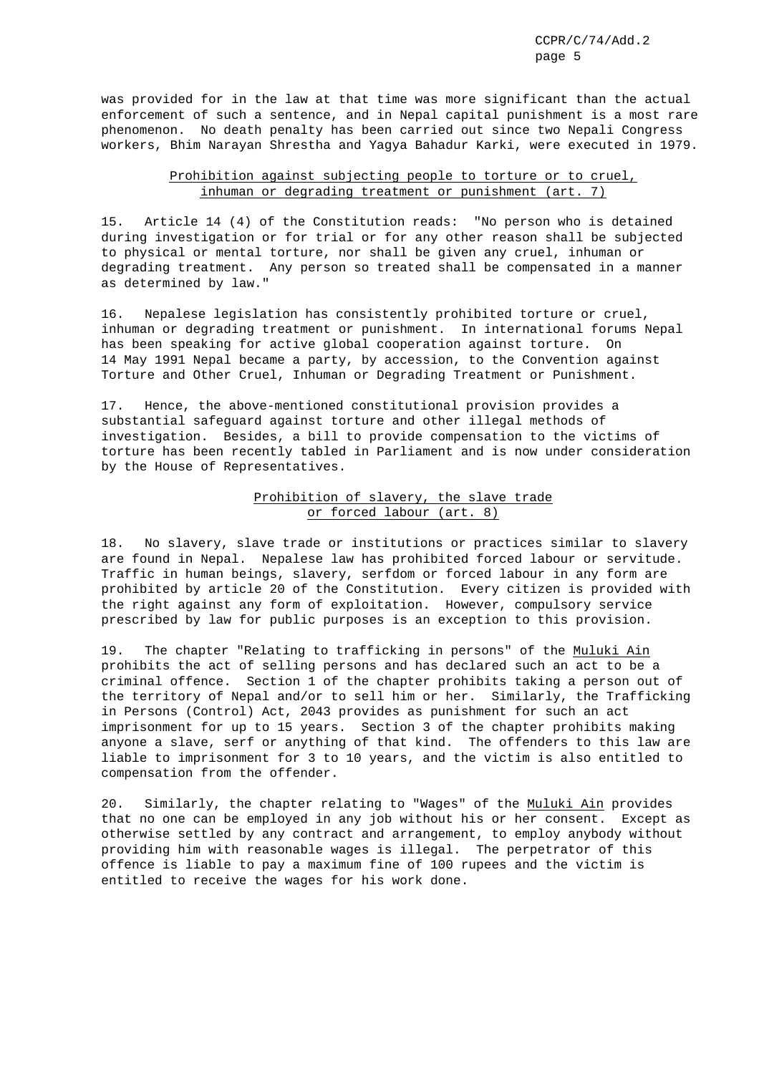was provided for in the law at that time was more significant than the actual enforcement of such a sentence, and in Nepal capital punishment is a most rare phenomenon. No death penalty has been carried out since two Nepali Congress workers, Bhim Narayan Shrestha and Yagya Bahadur Karki, were executed in 1979.

# Prohibition against subjecting people to torture or to cruel, inhuman or degrading treatment or punishment (art. 7)

15. Article 14 (4) of the Constitution reads: "No person who is detained during investigation or for trial or for any other reason shall be subjected to physical or mental torture, nor shall be given any cruel, inhuman or degrading treatment. Any person so treated shall be compensated in a manner as determined by law."

16. Nepalese legislation has consistently prohibited torture or cruel, inhuman or degrading treatment or punishment. In international forums Nepal has been speaking for active global cooperation against torture. On 14 May 1991 Nepal became a party, by accession, to the Convention against Torture and Other Cruel, Inhuman or Degrading Treatment or Punishment.

17. Hence, the above-mentioned constitutional provision provides a substantial safeguard against torture and other illegal methods of investigation. Besides, a bill to provide compensation to the victims of torture has been recently tabled in Parliament and is now under consideration by the House of Representatives.

# Prohibition of slavery, the slave trade or forced labour (art. 8)

18. No slavery, slave trade or institutions or practices similar to slavery are found in Nepal. Nepalese law has prohibited forced labour or servitude. Traffic in human beings, slavery, serfdom or forced labour in any form are prohibited by article 20 of the Constitution. Every citizen is provided with the right against any form of exploitation. However, compulsory service prescribed by law for public purposes is an exception to this provision.

19. The chapter "Relating to trafficking in persons" of the Muluki Ain prohibits the act of selling persons and has declared such an act to be a criminal offence. Section 1 of the chapter prohibits taking a person out of the territory of Nepal and/or to sell him or her. Similarly, the Trafficking in Persons (Control) Act, 2043 provides as punishment for such an act imprisonment for up to 15 years. Section 3 of the chapter prohibits making anyone a slave, serf or anything of that kind. The offenders to this law are liable to imprisonment for 3 to 10 years, and the victim is also entitled to compensation from the offender.

20. Similarly, the chapter relating to "Wages" of the Muluki Ain provides that no one can be employed in any job without his or her consent. Except as otherwise settled by any contract and arrangement, to employ anybody without providing him with reasonable wages is illegal. The perpetrator of this offence is liable to pay a maximum fine of 100 rupees and the victim is entitled to receive the wages for his work done.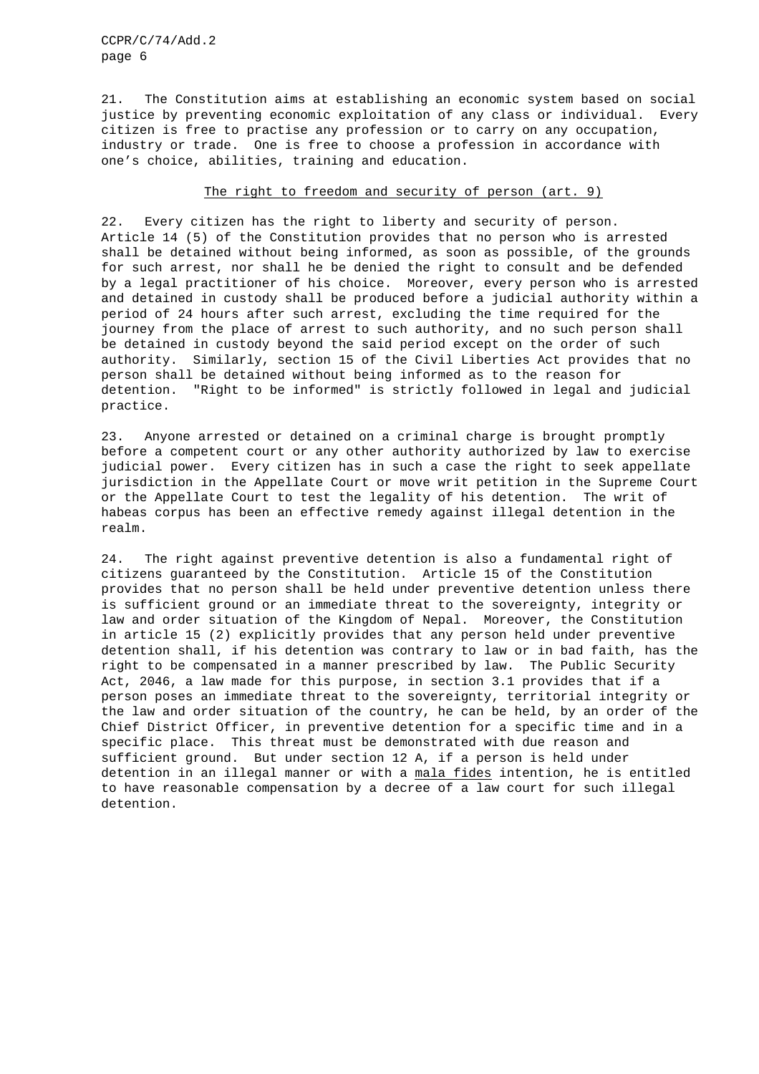21. The Constitution aims at establishing an economic system based on social justice by preventing economic exploitation of any class or individual. Every citizen is free to practise any profession or to carry on any occupation, industry or trade. One is free to choose a profession in accordance with one's choice, abilities, training and education.

# The right to freedom and security of person (art. 9)

22. Every citizen has the right to liberty and security of person. Article 14 (5) of the Constitution provides that no person who is arrested shall be detained without being informed, as soon as possible, of the grounds for such arrest, nor shall he be denied the right to consult and be defended by a legal practitioner of his choice. Moreover, every person who is arrested and detained in custody shall be produced before a judicial authority within a period of 24 hours after such arrest, excluding the time required for the journey from the place of arrest to such authority, and no such person shall be detained in custody beyond the said period except on the order of such authority. Similarly, section 15 of the Civil Liberties Act provides that no person shall be detained without being informed as to the reason for detention. "Right to be informed" is strictly followed in legal and judicial practice.

23. Anyone arrested or detained on a criminal charge is brought promptly before a competent court or any other authority authorized by law to exercise judicial power. Every citizen has in such a case the right to seek appellate jurisdiction in the Appellate Court or move writ petition in the Supreme Court or the Appellate Court to test the legality of his detention. The writ of habeas corpus has been an effective remedy against illegal detention in the realm.

24. The right against preventive detention is also a fundamental right of citizens guaranteed by the Constitution. Article 15 of the Constitution provides that no person shall be held under preventive detention unless there is sufficient ground or an immediate threat to the sovereignty, integrity or law and order situation of the Kingdom of Nepal. Moreover, the Constitution in article 15 (2) explicitly provides that any person held under preventive detention shall, if his detention was contrary to law or in bad faith, has the right to be compensated in a manner prescribed by law. The Public Security Act, 2046, a law made for this purpose, in section 3.1 provides that if a person poses an immediate threat to the sovereignty, territorial integrity or the law and order situation of the country, he can be held, by an order of the Chief District Officer, in preventive detention for a specific time and in a specific place. This threat must be demonstrated with due reason and sufficient ground. But under section 12 A, if a person is held under detention in an illegal manner or with a mala fides intention, he is entitled to have reasonable compensation by a decree of a law court for such illegal detention.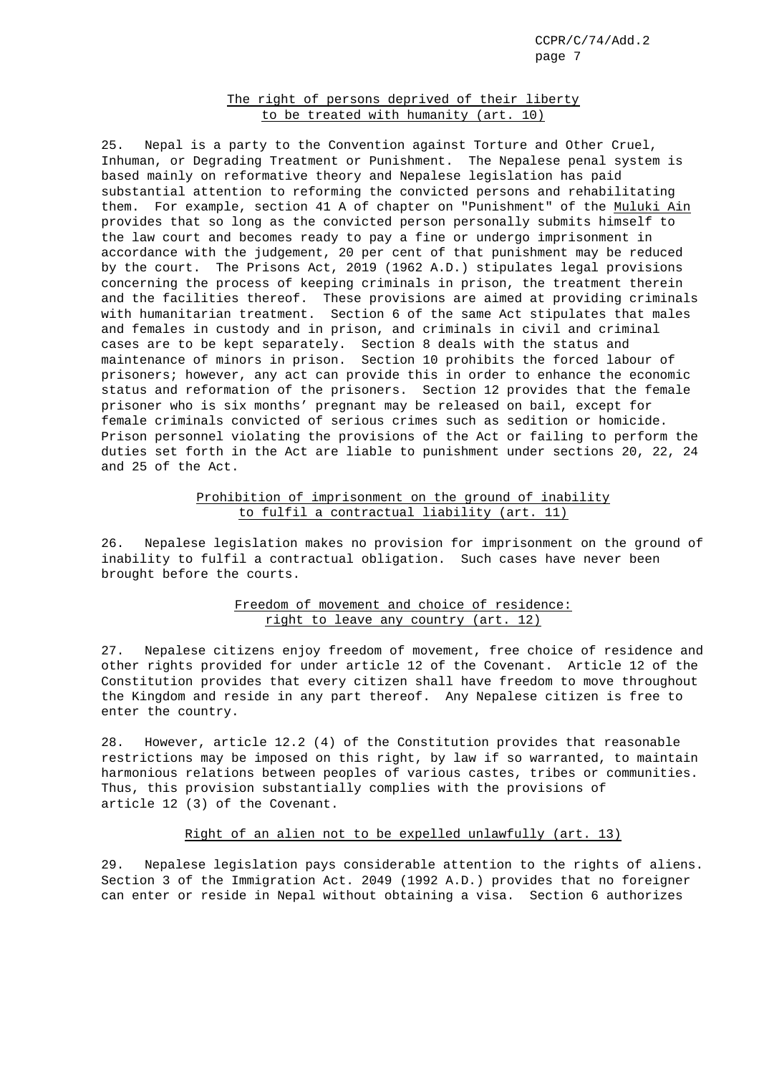# The right of persons deprived of their liberty to be treated with humanity (art. 10)

25. Nepal is a party to the Convention against Torture and Other Cruel, Inhuman, or Degrading Treatment or Punishment. The Nepalese penal system is based mainly on reformative theory and Nepalese legislation has paid substantial attention to reforming the convicted persons and rehabilitating them. For example, section 41 A of chapter on "Punishment" of the Muluki Ain provides that so long as the convicted person personally submits himself to the law court and becomes ready to pay a fine or undergo imprisonment in accordance with the judgement, 20 per cent of that punishment may be reduced by the court. The Prisons Act, 2019 (1962 A.D.) stipulates legal provisions concerning the process of keeping criminals in prison, the treatment therein and the facilities thereof. These provisions are aimed at providing criminals with humanitarian treatment. Section 6 of the same Act stipulates that males and females in custody and in prison, and criminals in civil and criminal cases are to be kept separately. Section 8 deals with the status and maintenance of minors in prison. Section 10 prohibits the forced labour of prisoners; however, any act can provide this in order to enhance the economic status and reformation of the prisoners. Section 12 provides that the female prisoner who is six months' pregnant may be released on bail, except for female criminals convicted of serious crimes such as sedition or homicide. Prison personnel violating the provisions of the Act or failing to perform the duties set forth in the Act are liable to punishment under sections 20, 22, 24 and 25 of the Act.

# Prohibition of imprisonment on the ground of inability to fulfil a contractual liability (art. 11)

26. Nepalese legislation makes no provision for imprisonment on the ground of inability to fulfil a contractual obligation. Such cases have never been brought before the courts.

# Freedom of movement and choice of residence: right to leave any country (art. 12)

27. Nepalese citizens enjoy freedom of movement, free choice of residence and other rights provided for under article 12 of the Covenant. Article 12 of the Constitution provides that every citizen shall have freedom to move throughout the Kingdom and reside in any part thereof. Any Nepalese citizen is free to enter the country.

28. However, article 12.2 (4) of the Constitution provides that reasonable restrictions may be imposed on this right, by law if so warranted, to maintain harmonious relations between peoples of various castes, tribes or communities. Thus, this provision substantially complies with the provisions of article 12 (3) of the Covenant.

### Right of an alien not to be expelled unlawfully (art. 13)

29. Nepalese legislation pays considerable attention to the rights of aliens. Section 3 of the Immigration Act. 2049 (1992 A.D.) provides that no foreigner can enter or reside in Nepal without obtaining a visa. Section 6 authorizes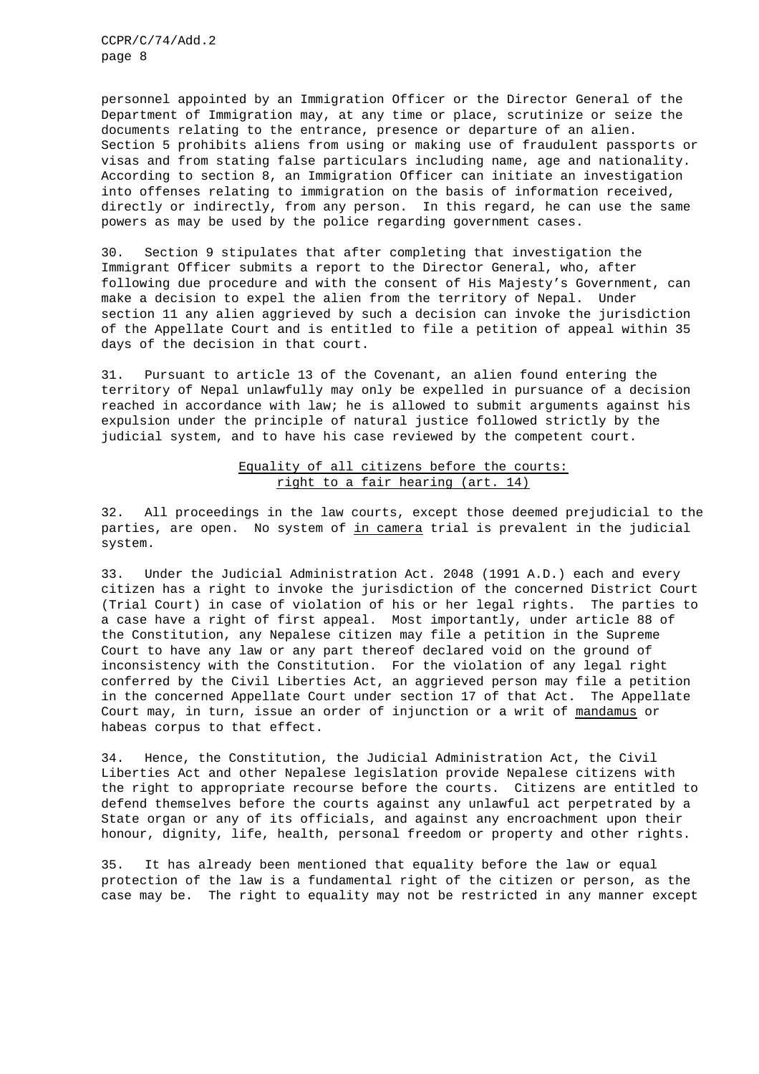personnel appointed by an Immigration Officer or the Director General of the Department of Immigration may, at any time or place, scrutinize or seize the documents relating to the entrance, presence or departure of an alien. Section 5 prohibits aliens from using or making use of fraudulent passports or visas and from stating false particulars including name, age and nationality. According to section 8, an Immigration Officer can initiate an investigation into offenses relating to immigration on the basis of information received, directly or indirectly, from any person. In this regard, he can use the same powers as may be used by the police regarding government cases.

30. Section 9 stipulates that after completing that investigation the Immigrant Officer submits a report to the Director General, who, after following due procedure and with the consent of His Majesty's Government, can make a decision to expel the alien from the territory of Nepal. Under section 11 any alien aggrieved by such a decision can invoke the jurisdiction of the Appellate Court and is entitled to file a petition of appeal within 35 days of the decision in that court.

31. Pursuant to article 13 of the Covenant, an alien found entering the territory of Nepal unlawfully may only be expelled in pursuance of a decision reached in accordance with law; he is allowed to submit arguments against his expulsion under the principle of natural justice followed strictly by the judicial system, and to have his case reviewed by the competent court.

# Equality of all citizens before the courts: right to a fair hearing (art. 14)

32. All proceedings in the law courts, except those deemed prejudicial to the parties, are open. No system of in camera trial is prevalent in the judicial system.

33. Under the Judicial Administration Act. 2048 (1991 A.D.) each and every citizen has a right to invoke the jurisdiction of the concerned District Court (Trial Court) in case of violation of his or her legal rights. The parties to a case have a right of first appeal. Most importantly, under article 88 of the Constitution, any Nepalese citizen may file a petition in the Supreme Court to have any law or any part thereof declared void on the ground of inconsistency with the Constitution. For the violation of any legal right conferred by the Civil Liberties Act, an aggrieved person may file a petition in the concerned Appellate Court under section 17 of that Act. The Appellate Court may, in turn, issue an order of injunction or a writ of mandamus or habeas corpus to that effect.

34. Hence, the Constitution, the Judicial Administration Act, the Civil Liberties Act and other Nepalese legislation provide Nepalese citizens with the right to appropriate recourse before the courts. Citizens are entitled to defend themselves before the courts against any unlawful act perpetrated by a State organ or any of its officials, and against any encroachment upon their honour, dignity, life, health, personal freedom or property and other rights.

35. It has already been mentioned that equality before the law or equal protection of the law is a fundamental right of the citizen or person, as the case may be. The right to equality may not be restricted in any manner except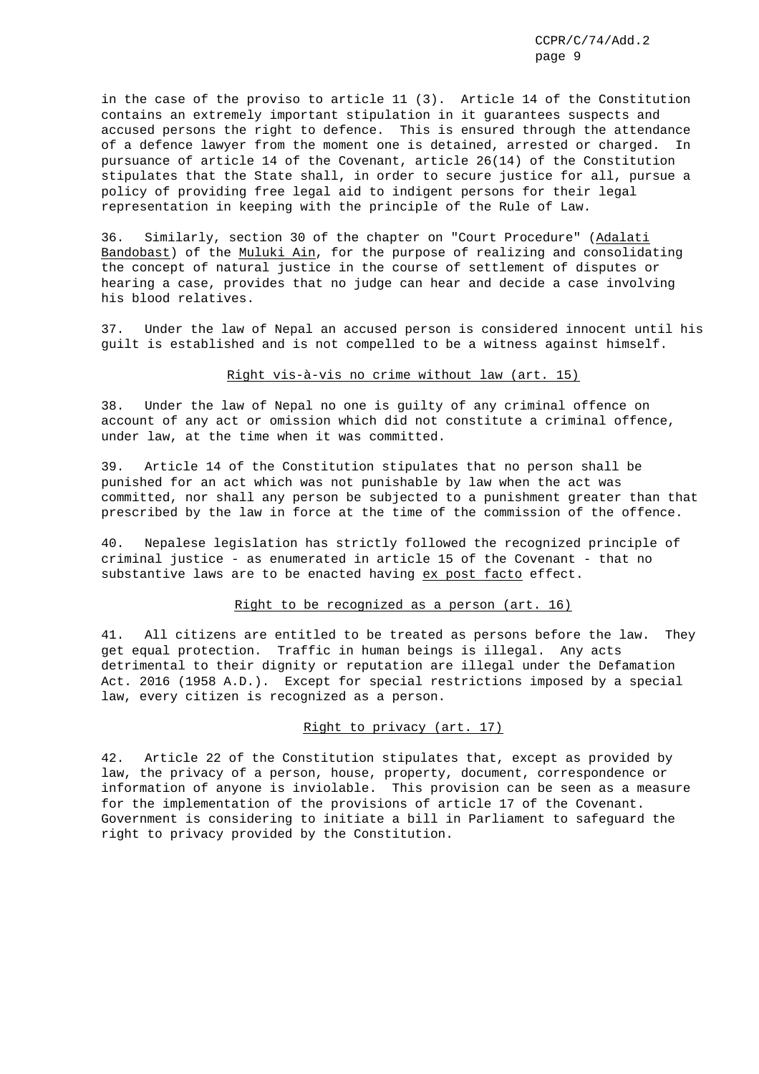in the case of the proviso to article 11 (3). Article 14 of the Constitution contains an extremely important stipulation in it guarantees suspects and accused persons the right to defence. This is ensured through the attendance of a defence lawyer from the moment one is detained, arrested or charged. In pursuance of article 14 of the Covenant, article 26(14) of the Constitution stipulates that the State shall, in order to secure justice for all, pursue a policy of providing free legal aid to indigent persons for their legal representation in keeping with the principle of the Rule of Law.

36. Similarly, section 30 of the chapter on "Court Procedure" (Adalati Bandobast) of the Muluki Ain, for the purpose of realizing and consolidating the concept of natural justice in the course of settlement of disputes or hearing a case, provides that no judge can hear and decide a case involving his blood relatives.

37. Under the law of Nepal an accused person is considered innocent until his guilt is established and is not compelled to be a witness against himself.

#### Right vis-à-vis no crime without law (art. 15)

38. Under the law of Nepal no one is guilty of any criminal offence on account of any act or omission which did not constitute a criminal offence, under law, at the time when it was committed.

39. Article 14 of the Constitution stipulates that no person shall be punished for an act which was not punishable by law when the act was committed, nor shall any person be subjected to a punishment greater than that prescribed by the law in force at the time of the commission of the offence.

40. Nepalese legislation has strictly followed the recognized principle of criminal justice - as enumerated in article 15 of the Covenant - that no substantive laws are to be enacted having ex post facto effect.

# Right to be recognized as a person (art. 16)

41. All citizens are entitled to be treated as persons before the law. They get equal protection. Traffic in human beings is illegal. Any acts detrimental to their dignity or reputation are illegal under the Defamation Act. 2016 (1958 A.D.). Except for special restrictions imposed by a special law, every citizen is recognized as a person.

### Right to privacy (art. 17)

42. Article 22 of the Constitution stipulates that, except as provided by law, the privacy of a person, house, property, document, correspondence or information of anyone is inviolable. This provision can be seen as a measure for the implementation of the provisions of article 17 of the Covenant. Government is considering to initiate a bill in Parliament to safeguard the right to privacy provided by the Constitution.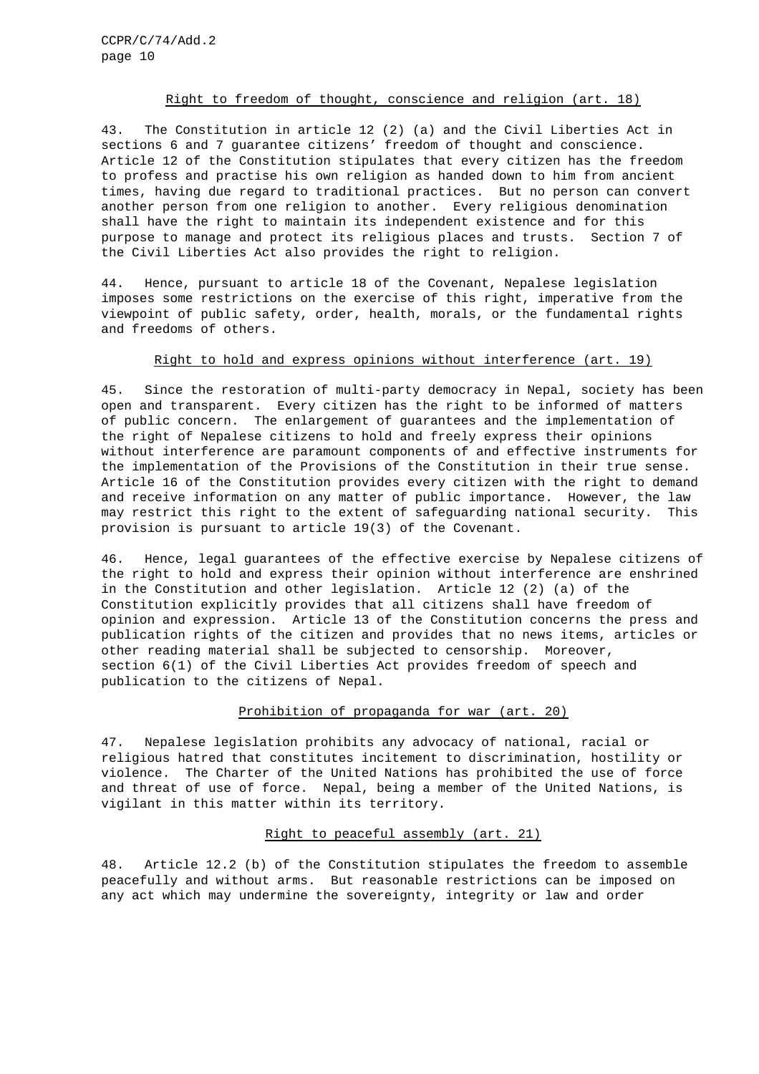# Right to freedom of thought, conscience and religion (art. 18)

43. The Constitution in article 12 (2) (a) and the Civil Liberties Act in sections 6 and 7 guarantee citizens' freedom of thought and conscience. Article 12 of the Constitution stipulates that every citizen has the freedom to profess and practise his own religion as handed down to him from ancient times, having due regard to traditional practices. But no person can convert another person from one religion to another. Every religious denomination shall have the right to maintain its independent existence and for this purpose to manage and protect its religious places and trusts. Section 7 of the Civil Liberties Act also provides the right to religion.

44. Hence, pursuant to article 18 of the Covenant, Nepalese legislation imposes some restrictions on the exercise of this right, imperative from the viewpoint of public safety, order, health, morals, or the fundamental rights and freedoms of others.

# Right to hold and express opinions without interference (art. 19)

45. Since the restoration of multi-party democracy in Nepal, society has been open and transparent. Every citizen has the right to be informed of matters of public concern. The enlargement of guarantees and the implementation of the right of Nepalese citizens to hold and freely express their opinions without interference are paramount components of and effective instruments for the implementation of the Provisions of the Constitution in their true sense. Article 16 of the Constitution provides every citizen with the right to demand and receive information on any matter of public importance. However, the law may restrict this right to the extent of safeguarding national security. This provision is pursuant to article 19(3) of the Covenant.

46. Hence, legal guarantees of the effective exercise by Nepalese citizens of the right to hold and express their opinion without interference are enshrined in the Constitution and other legislation. Article 12 (2) (a) of the Constitution explicitly provides that all citizens shall have freedom of opinion and expression. Article 13 of the Constitution concerns the press and publication rights of the citizen and provides that no news items, articles or other reading material shall be subjected to censorship. Moreover, section 6(1) of the Civil Liberties Act provides freedom of speech and publication to the citizens of Nepal.

## Prohibition of propaganda for war (art. 20)

47. Nepalese legislation prohibits any advocacy of national, racial or religious hatred that constitutes incitement to discrimination, hostility or violence. The Charter of the United Nations has prohibited the use of force and threat of use of force. Nepal, being a member of the United Nations, is vigilant in this matter within its territory.

### Right to peaceful assembly (art. 21)

48. Article 12.2 (b) of the Constitution stipulates the freedom to assemble peacefully and without arms. But reasonable restrictions can be imposed on any act which may undermine the sovereignty, integrity or law and order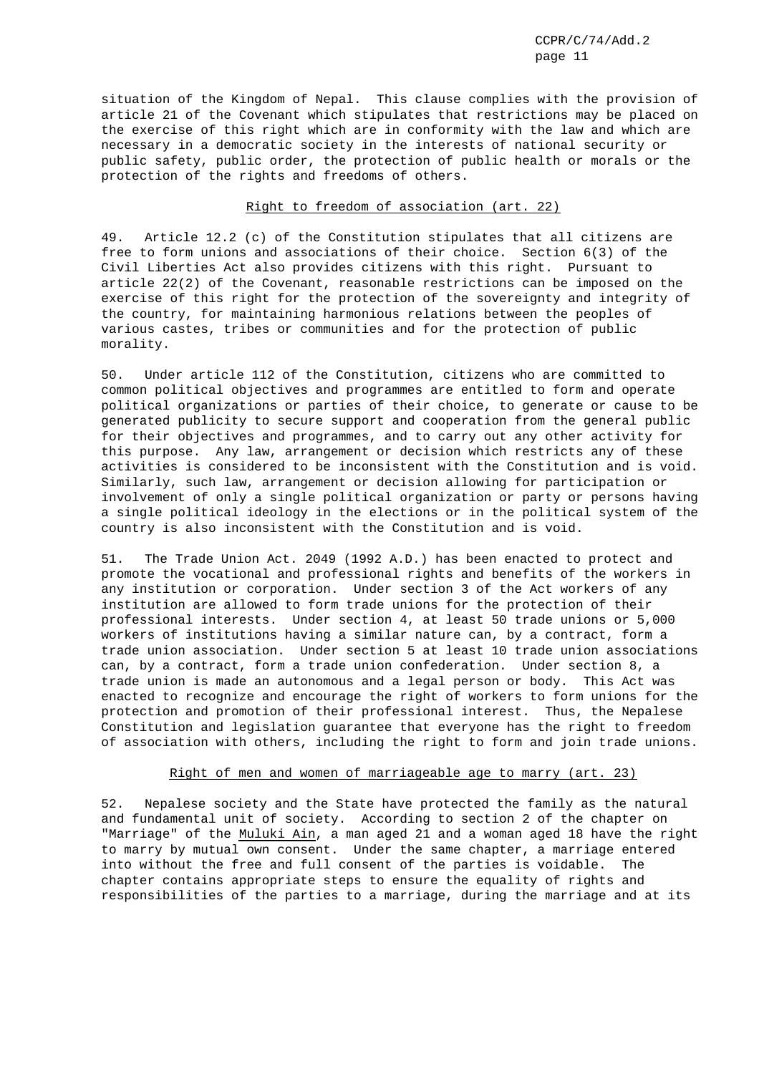situation of the Kingdom of Nepal. This clause complies with the provision of article 21 of the Covenant which stipulates that restrictions may be placed on the exercise of this right which are in conformity with the law and which are necessary in a democratic society in the interests of national security or public safety, public order, the protection of public health or morals or the protection of the rights and freedoms of others.

# Right to freedom of association (art. 22)

49. Article 12.2 (c) of the Constitution stipulates that all citizens are free to form unions and associations of their choice. Section 6(3) of the Civil Liberties Act also provides citizens with this right. Pursuant to article 22(2) of the Covenant, reasonable restrictions can be imposed on the exercise of this right for the protection of the sovereignty and integrity of the country, for maintaining harmonious relations between the peoples of various castes, tribes or communities and for the protection of public morality.

50. Under article 112 of the Constitution, citizens who are committed to common political objectives and programmes are entitled to form and operate political organizations or parties of their choice, to generate or cause to be generated publicity to secure support and cooperation from the general public for their objectives and programmes, and to carry out any other activity for this purpose. Any law, arrangement or decision which restricts any of these activities is considered to be inconsistent with the Constitution and is void. Similarly, such law, arrangement or decision allowing for participation or involvement of only a single political organization or party or persons having a single political ideology in the elections or in the political system of the country is also inconsistent with the Constitution and is void.

51. The Trade Union Act. 2049 (1992 A.D.) has been enacted to protect and promote the vocational and professional rights and benefits of the workers in any institution or corporation. Under section 3 of the Act workers of any institution are allowed to form trade unions for the protection of their professional interests. Under section 4, at least 50 trade unions or 5,000 workers of institutions having a similar nature can, by a contract, form a trade union association. Under section 5 at least 10 trade union associations can, by a contract, form a trade union confederation. Under section 8, a trade union is made an autonomous and a legal person or body. This Act was enacted to recognize and encourage the right of workers to form unions for the protection and promotion of their professional interest. Thus, the Nepalese Constitution and legislation guarantee that everyone has the right to freedom of association with others, including the right to form and join trade unions.

# Right of men and women of marriageable age to marry (art. 23)

52. Nepalese society and the State have protected the family as the natural and fundamental unit of society. According to section 2 of the chapter on "Marriage" of the Muluki Ain, a man aged 21 and a woman aged 18 have the right to marry by mutual own consent. Under the same chapter, a marriage entered into without the free and full consent of the parties is voidable. The chapter contains appropriate steps to ensure the equality of rights and responsibilities of the parties to a marriage, during the marriage and at its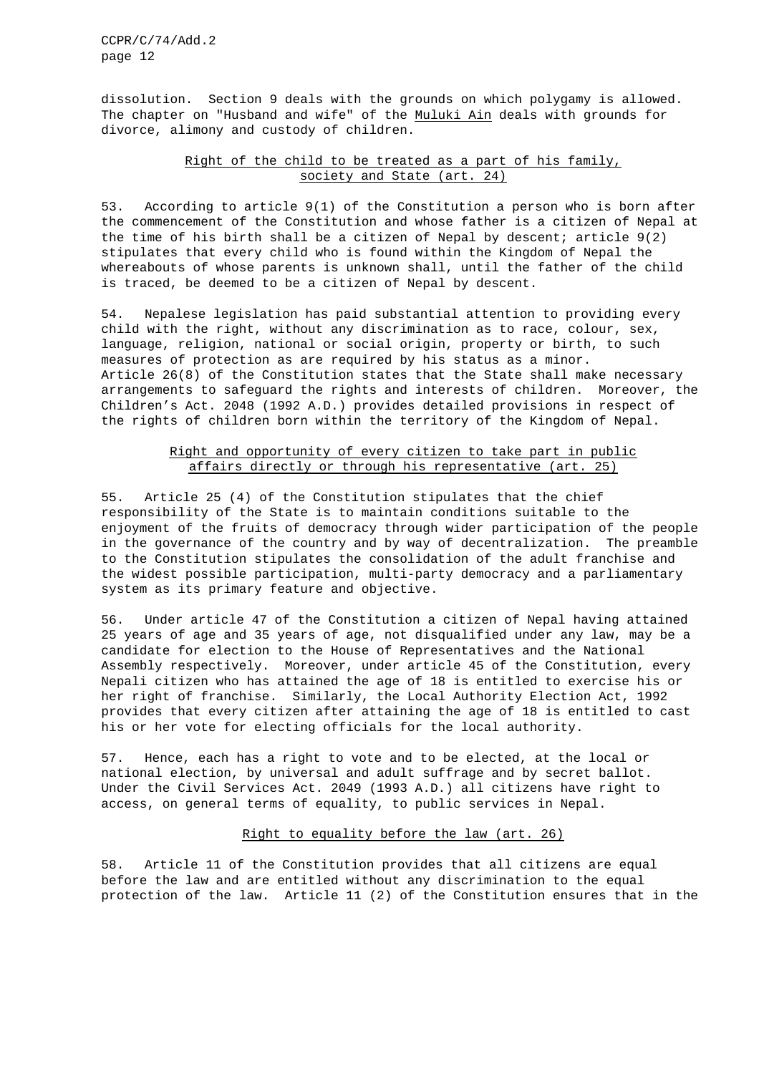dissolution. Section 9 deals with the grounds on which polygamy is allowed. The chapter on "Husband and wife" of the Muluki Ain deals with grounds for divorce, alimony and custody of children.

# Right of the child to be treated as a part of his family, society and State (art. 24)

53. According to article 9(1) of the Constitution a person who is born after the commencement of the Constitution and whose father is a citizen of Nepal at the time of his birth shall be a citizen of Nepal by descent; article  $9(2)$ stipulates that every child who is found within the Kingdom of Nepal the whereabouts of whose parents is unknown shall, until the father of the child is traced, be deemed to be a citizen of Nepal by descent.

54. Nepalese legislation has paid substantial attention to providing every child with the right, without any discrimination as to race, colour, sex, language, religion, national or social origin, property or birth, to such measures of protection as are required by his status as a minor. Article 26(8) of the Constitution states that the State shall make necessary arrangements to safeguard the rights and interests of children. Moreover, the Children's Act. 2048 (1992 A.D.) provides detailed provisions in respect of the rights of children born within the territory of the Kingdom of Nepal.

# Right and opportunity of every citizen to take part in public affairs directly or through his representative (art. 25)

55. Article 25 (4) of the Constitution stipulates that the chief responsibility of the State is to maintain conditions suitable to the enjoyment of the fruits of democracy through wider participation of the people in the governance of the country and by way of decentralization. The preamble to the Constitution stipulates the consolidation of the adult franchise and the widest possible participation, multi-party democracy and a parliamentary system as its primary feature and objective.

56. Under article 47 of the Constitution a citizen of Nepal having attained 25 years of age and 35 years of age, not disqualified under any law, may be a candidate for election to the House of Representatives and the National Assembly respectively. Moreover, under article 45 of the Constitution, every Nepali citizen who has attained the age of 18 is entitled to exercise his or her right of franchise. Similarly, the Local Authority Election Act, 1992 provides that every citizen after attaining the age of 18 is entitled to cast his or her vote for electing officials for the local authority.

57. Hence, each has a right to vote and to be elected, at the local or national election, by universal and adult suffrage and by secret ballot. Under the Civil Services Act. 2049 (1993 A.D.) all citizens have right to access, on general terms of equality, to public services in Nepal.

### Right to equality before the law (art. 26)

58. Article 11 of the Constitution provides that all citizens are equal before the law and are entitled without any discrimination to the equal protection of the law. Article 11 (2) of the Constitution ensures that in the